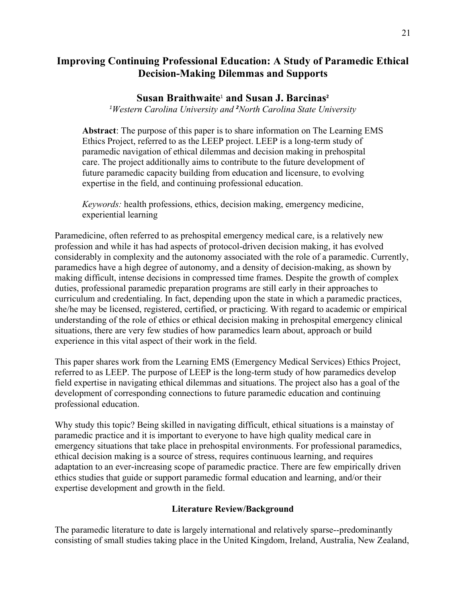# **Improving Continuing Professional Education: A Study of Paramedic Ethical Decision-Making Dilemmas and Supports**

# **Susan Braithwaite**<sup>1</sup> **and Susan J. Barcinas<sup>2</sup>**

<sup>1</sup>Western Carolina University and <sup>2</sup>North Carolina State University

**Abstract**: The purpose of this paper is to share information on The Learning EMS Ethics Project, referred to as the LEEP project. LEEP is a long-term study of paramedic navigation of ethical dilemmas and decision making in prehospital care. The project additionally aims to contribute to the future development of future paramedic capacity building from education and licensure, to evolving expertise in the field, and continuing professional education.

*Keywords:* health professions, ethics, decision making, emergency medicine, experiential learning

Paramedicine, often referred to as prehospital emergency medical care, is a relatively new profession and while it has had aspects of protocol-driven decision making, it has evolved considerably in complexity and the autonomy associated with the role of a paramedic. Currently, paramedics have a high degree of autonomy, and a density of decision-making, as shown by making difficult, intense decisions in compressed time frames. Despite the growth of complex duties, professional paramedic preparation programs are still early in their approaches to curriculum and credentialing. In fact, depending upon the state in which a paramedic practices, she/he may be licensed, registered, certified, or practicing. With regard to academic or empirical understanding of the role of ethics or ethical decision making in prehospital emergency clinical situations, there are very few studies of how paramedics learn about, approach or build experience in this vital aspect of their work in the field.

This paper shares work from the Learning EMS (Emergency Medical Services) Ethics Project, referred to as LEEP. The purpose of LEEP is the long-term study of how paramedics develop field expertise in navigating ethical dilemmas and situations. The project also has a goal of the development of corresponding connections to future paramedic education and continuing professional education.

Why study this topic? Being skilled in navigating difficult, ethical situations is a mainstay of paramedic practice and it is important to everyone to have high quality medical care in emergency situations that take place in prehospital environments. For professional paramedics, ethical decision making is a source of stress, requires continuous learning, and requires adaptation to an ever-increasing scope of paramedic practice. There are few empirically driven ethics studies that guide or support paramedic formal education and learning, and/or their expertise development and growth in the field.

## **Literature Review/Background**

The paramedic literature to date is largely international and relatively sparse--predominantly consisting of small studies taking place in the United Kingdom, Ireland, Australia, New Zealand,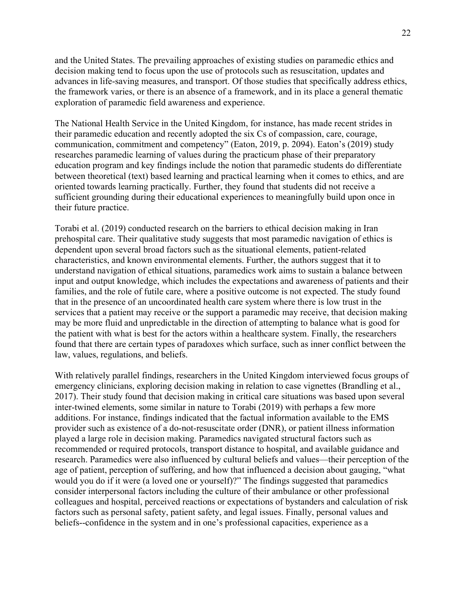and the United States. The prevailing approaches of existing studies on paramedic ethics and decision making tend to focus upon the use of protocols such as resuscitation, updates and advances in life-saving measures, and transport. Of those studies that specifically address ethics, the framework varies, or there is an absence of a framework, and in its place a general thematic exploration of paramedic field awareness and experience.

The National Health Service in the United Kingdom, for instance, has made recent strides in their paramedic education and recently adopted the six Cs of compassion, care, courage, communication, commitment and competency" (Eaton, 2019, p. 2094). Eaton's (2019) study researches paramedic learning of values during the practicum phase of their preparatory education program and key findings include the notion that paramedic students do differentiate between theoretical (text) based learning and practical learning when it comes to ethics, and are oriented towards learning practically. Further, they found that students did not receive a sufficient grounding during their educational experiences to meaningfully build upon once in their future practice.

Torabi et al. (2019) conducted research on the barriers to ethical decision making in Iran prehospital care. Their qualitative study suggests that most paramedic navigation of ethics is dependent upon several broad factors such as the situational elements, patient-related characteristics, and known environmental elements. Further, the authors suggest that it to understand navigation of ethical situations, paramedics work aims to sustain a balance between input and output knowledge, which includes the expectations and awareness of patients and their families, and the role of futile care, where a positive outcome is not expected. The study found that in the presence of an uncoordinated health care system where there is low trust in the services that a patient may receive or the support a paramedic may receive, that decision making may be more fluid and unpredictable in the direction of attempting to balance what is good for the patient with what is best for the actors within a healthcare system. Finally, the researchers found that there are certain types of paradoxes which surface, such as inner conflict between the law, values, regulations, and beliefs.

With relatively parallel findings, researchers in the United Kingdom interviewed focus groups of emergency clinicians, exploring decision making in relation to case vignettes (Brandling et al., 2017). Their study found that decision making in critical care situations was based upon several inter-twined elements, some similar in nature to Torabi (2019) with perhaps a few more additions. For instance, findings indicated that the factual information available to the EMS provider such as existence of a do-not-resuscitate order (DNR), or patient illness information played a large role in decision making. Paramedics navigated structural factors such as recommended or required protocols, transport distance to hospital, and available guidance and research. Paramedics were also influenced by cultural beliefs and values—their perception of the age of patient, perception of suffering, and how that influenced a decision about gauging, "what would you do if it were (a loved one or yourself)?" The findings suggested that paramedics consider interpersonal factors including the culture of their ambulance or other professional colleagues and hospital, perceived reactions or expectations of bystanders and calculation of risk factors such as personal safety, patient safety, and legal issues. Finally, personal values and beliefs--confidence in the system and in one's professional capacities, experience as a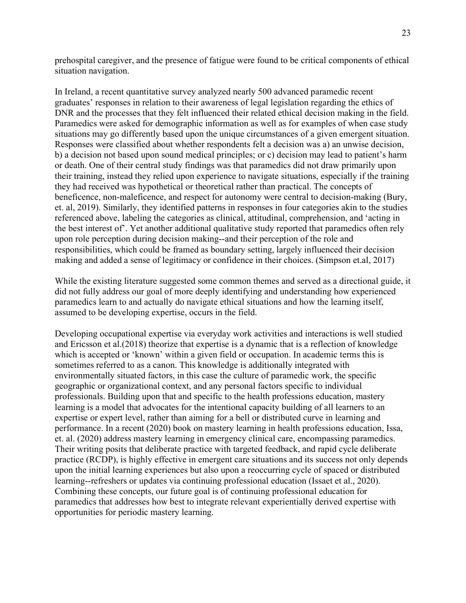prehospital caregiver, and the presence of fatigue were found to be critical components of ethical situation navigation.

In Ireland, a recent quantitative survey analyzed nearly 500 advanced paramedic recent graduates' responses in relation to their awareness of legal legislation regarding the ethics of DNR and the processes that they felt influenced their related ethical decision making in the field. Paramedics were asked for demographic information as well as for examples of when case study situations may go differently based upon the unique circumstances of a given emergent situation. Responses were classified about whether respondents felt a decision was a) an unwise decision, b) a decision not based upon sound medical principles; or c) decision may lead to patient's harm or death. One of their central study findings was that paramedics did not draw primarily upon their training, instead they relied upon experience to navigate situations, especially if the training they had received was hypothetical or theoretical rather than practical. The concepts of beneficence, non-maleficence, and respect for autonomy were central to decision-making (Bury, et. al, 2019). Similarly, they identified patterns in responses in four categories akin to the studies referenced above, labeling the categories as clinical, attitudinal, comprehension, and 'acting in the best interest of'. Yet another additional qualitative study reported that paramedics often rely upon role perception during decision making--and their perception of the role and responsibilities, which could be framed as boundary setting, largely influenced their decision making and added a sense of legitimacy or confidence in their choices. (Simpson et.al, 2017)

While the existing literature suggested some common themes and served as a directional guide, it did not fully address our goal of more deeply identifying and understanding how experienced paramedics learn to and actually do navigate ethical situations and how the learning itself, assumed to be developing expertise, occurs in the field.

Developing occupational expertise via everyday work activities and interactions is well studied and Ericsson et al.(2018) theorize that expertise is a dynamic that is a reflection of knowledge which is accepted or 'known' within a given field or occupation. In academic terms this is sometimes referred to as a canon. This knowledge is additionally integrated with environmentally situated factors, in this case the culture of paramedic work, the specific geographic or organizational context, and any personal factors specific to individual professionals. Building upon that and specific to the health professions education, mastery learning is a model that advocates for the intentional capacity building of all learners to an expertise or expert level, rather than aiming for a bell or distributed curve in learning and performance. In a recent (2020) book on mastery learning in health professions education, Issa, et. al. (2020) address mastery learning in emergency clinical care, encompassing paramedics. Their writing posits that deliberate practice with targeted feedback, and rapid cycle deliberate practice (RCDP), is highly effective in emergent care situations and its success not only depends upon the initial learning experiences but also upon a reoccurring cycle of spaced or distributed learning--refreshers or updates via continuing professional education (Issaet et al., 2020). Combining these concepts, our future goal is of continuing professional education for paramedics that addresses how best to integrate relevant experientially derived expertise with opportunities for periodic mastery learning.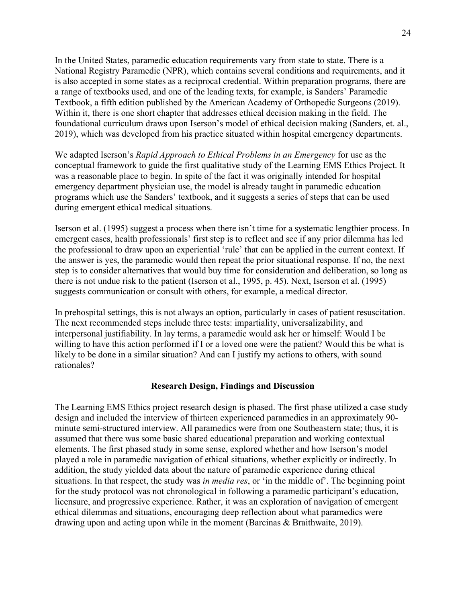In the United States, paramedic education requirements vary from state to state. There is a National Registry Paramedic (NPR), which contains several conditions and requirements, and it is also accepted in some states as a reciprocal credential. Within preparation programs, there are a range of textbooks used, and one of the leading texts, for example, is Sanders' Paramedic Textbook, a fifth edition published by the American Academy of Orthopedic Surgeons (2019). Within it, there is one short chapter that addresses ethical decision making in the field. The foundational curriculum draws upon Iserson's model of ethical decision making (Sanders, et. al., 2019), which was developed from his practice situated within hospital emergency departments.

We adapted Iserson's *Rapid Approach to Ethical Problems in an Emergency* for use as the conceptual framework to guide the first qualitative study of the Learning EMS Ethics Project. It was a reasonable place to begin. In spite of the fact it was originally intended for hospital emergency department physician use, the model is already taught in paramedic education programs which use the Sanders' textbook, and it suggests a series of steps that can be used during emergent ethical medical situations.

Iserson et al. (1995) suggest a process when there isn't time for a systematic lengthier process. In emergent cases, health professionals' first step is to reflect and see if any prior dilemma has led the professional to draw upon an experiential 'rule' that can be applied in the current context. If the answer is yes, the paramedic would then repeat the prior situational response. If no, the next step is to consider alternatives that would buy time for consideration and deliberation, so long as there is not undue risk to the patient (Iserson et al., 1995, p. 45). Next, Iserson et al. (1995) suggests communication or consult with others, for example, a medical director.

In prehospital settings, this is not always an option, particularly in cases of patient resuscitation. The next recommended steps include three tests: impartiality, universalizability, and interpersonal justifiability. In lay terms, a paramedic would ask her or himself: Would I be willing to have this action performed if I or a loved one were the patient? Would this be what is likely to be done in a similar situation? And can I justify my actions to others, with sound rationales?

### **Research Design, Findings and Discussion**

The Learning EMS Ethics project research design is phased. The first phase utilized a case study design and included the interview of thirteen experienced paramedics in an approximately 90 minute semi-structured interview. All paramedics were from one Southeastern state; thus, it is assumed that there was some basic shared educational preparation and working contextual elements. The first phased study in some sense, explored whether and how Iserson's model played a role in paramedic navigation of ethical situations, whether explicitly or indirectly. In addition, the study yielded data about the nature of paramedic experience during ethical situations. In that respect, the study was *in media res*, or 'in the middle of'. The beginning point for the study protocol was not chronological in following a paramedic participant's education, licensure, and progressive experience. Rather, it was an exploration of navigation of emergent ethical dilemmas and situations, encouraging deep reflection about what paramedics were drawing upon and acting upon while in the moment (Barcinas & Braithwaite, 2019).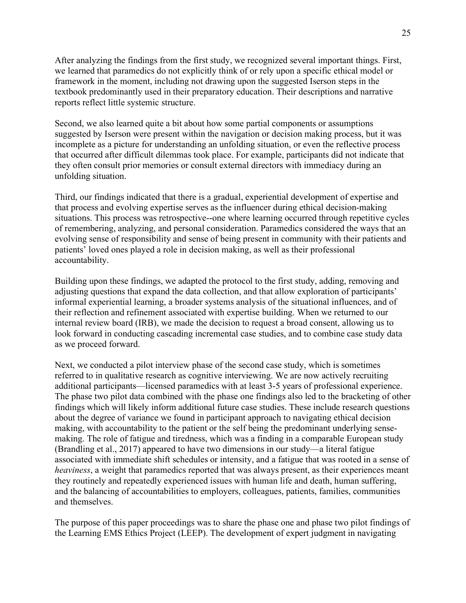After analyzing the findings from the first study, we recognized several important things. First, we learned that paramedics do not explicitly think of or rely upon a specific ethical model or framework in the moment, including not drawing upon the suggested Iserson steps in the textbook predominantly used in their preparatory education. Their descriptions and narrative reports reflect little systemic structure.

Second, we also learned quite a bit about how some partial components or assumptions suggested by Iserson were present within the navigation or decision making process, but it was incomplete as a picture for understanding an unfolding situation, or even the reflective process that occurred after difficult dilemmas took place. For example, participants did not indicate that they often consult prior memories or consult external directors with immediacy during an unfolding situation.

Third, our findings indicated that there is a gradual, experiential development of expertise and that process and evolving expertise serves as the influencer during ethical decision-making situations. This process was retrospective--one where learning occurred through repetitive cycles of remembering, analyzing, and personal consideration. Paramedics considered the ways that an evolving sense of responsibility and sense of being present in community with their patients and patients' loved ones played a role in decision making, as well as their professional accountability.

Building upon these findings, we adapted the protocol to the first study, adding, removing and adjusting questions that expand the data collection, and that allow exploration of participants' informal experiential learning, a broader systems analysis of the situational influences, and of their reflection and refinement associated with expertise building. When we returned to our internal review board (IRB), we made the decision to request a broad consent, allowing us to look forward in conducting cascading incremental case studies, and to combine case study data as we proceed forward.

Next, we conducted a pilot interview phase of the second case study, which is sometimes referred to in qualitative research as cognitive interviewing. We are now actively recruiting additional participants—licensed paramedics with at least 3-5 years of professional experience. The phase two pilot data combined with the phase one findings also led to the bracketing of other findings which will likely inform additional future case studies. These include research questions about the degree of variance we found in participant approach to navigating ethical decision making, with accountability to the patient or the self being the predominant underlying sensemaking. The role of fatigue and tiredness, which was a finding in a comparable European study (Brandling et al., 2017) appeared to have two dimensions in our study—a literal fatigue associated with immediate shift schedules or intensity, and a fatigue that was rooted in a sense of *heaviness*, a weight that paramedics reported that was always present, as their experiences meant they routinely and repeatedly experienced issues with human life and death, human suffering, and the balancing of accountabilities to employers, colleagues, patients, families, communities and themselves.

The purpose of this paper proceedings was to share the phase one and phase two pilot findings of the Learning EMS Ethics Project (LEEP). The development of expert judgment in navigating